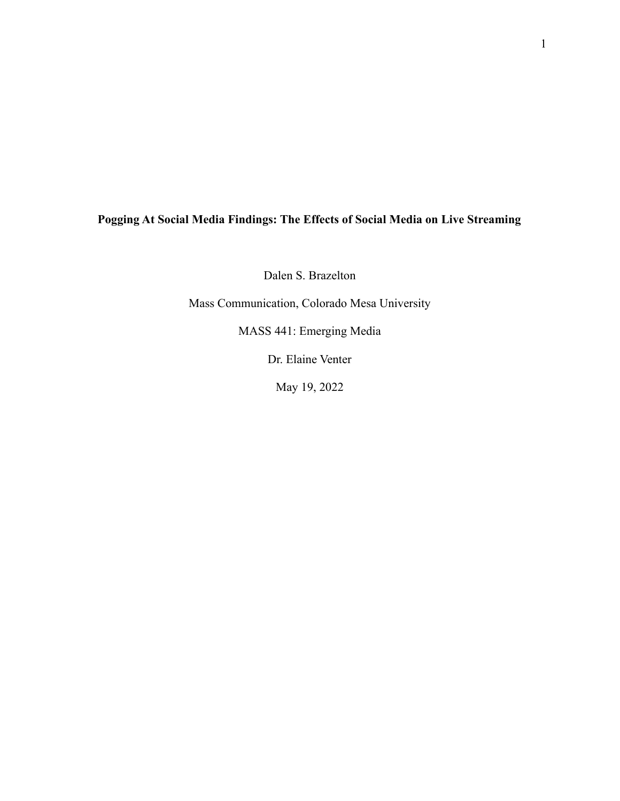# **Pogging At Social Media Findings: The Effects of Social Media on Live Streaming**

Dalen S. Brazelton

Mass Communication, Colorado Mesa University

MASS 441: Emerging Media

Dr. Elaine Venter

May 19, 2022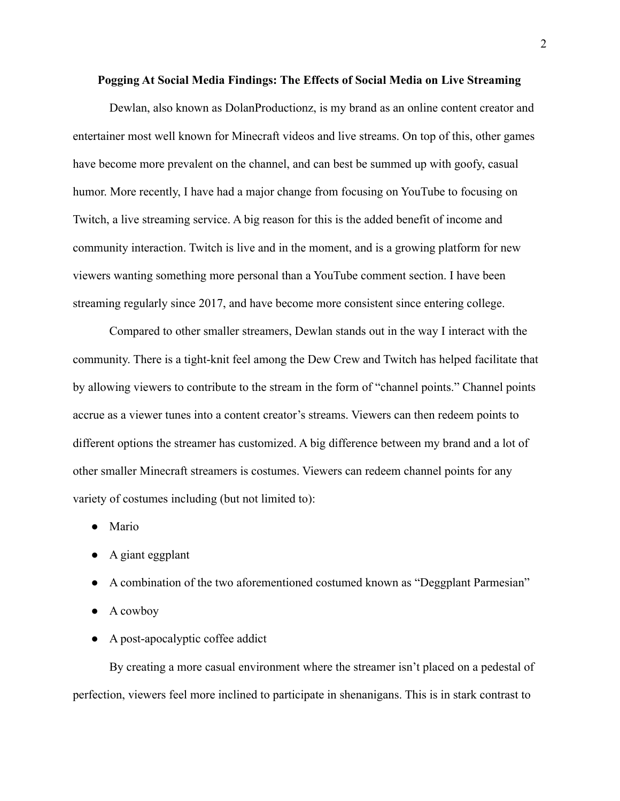#### **Pogging At Social Media Findings: The Effects of Social Media on Live Streaming**

Dewlan, also known as DolanProductionz, is my brand as an online content creator and entertainer most well known for Minecraft videos and live streams. On top of this, other games have become more prevalent on the channel, and can best be summed up with goofy, casual humor. More recently, I have had a major change from focusing on YouTube to focusing on Twitch, a live streaming service. A big reason for this is the added benefit of income and community interaction. Twitch is live and in the moment, and is a growing platform for new viewers wanting something more personal than a YouTube comment section. I have been streaming regularly since 2017, and have become more consistent since entering college.

Compared to other smaller streamers, Dewlan stands out in the way I interact with the community. There is a tight-knit feel among the Dew Crew and Twitch has helped facilitate that by allowing viewers to contribute to the stream in the form of "channel points." Channel points accrue as a viewer tunes into a content creator's streams. Viewers can then redeem points to different options the streamer has customized. A big difference between my brand and a lot of other smaller Minecraft streamers is costumes. Viewers can redeem channel points for any variety of costumes including (but not limited to):

- Mario
- A giant eggplant
- A combination of the two aforementioned costumed known as "Deggplant Parmesian"
- A cowboy
- A post-apocalyptic coffee addict

By creating a more casual environment where the streamer isn't placed on a pedestal of perfection, viewers feel more inclined to participate in shenanigans. This is in stark contrast to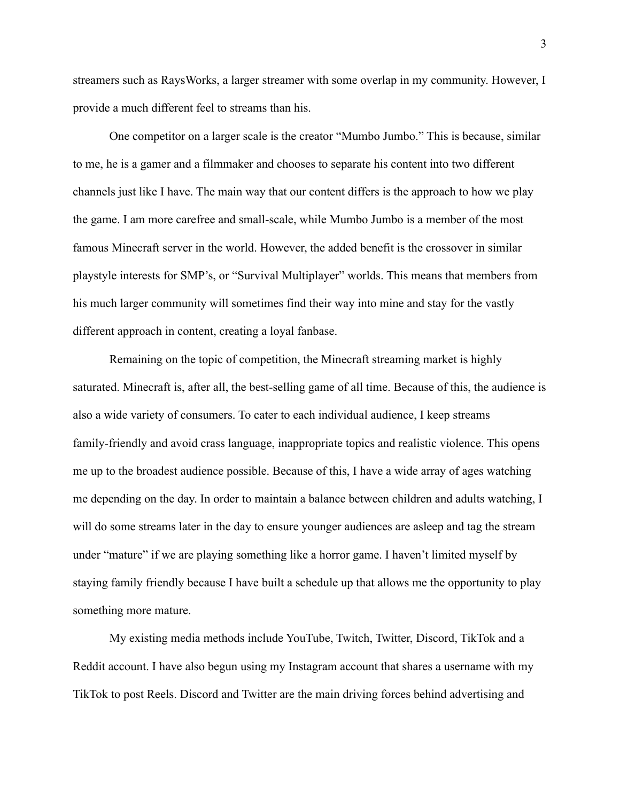streamers such as RaysWorks, a larger streamer with some overlap in my community. However, I provide a much different feel to streams than his.

One competitor on a larger scale is the creator "Mumbo Jumbo." This is because, similar to me, he is a gamer and a filmmaker and chooses to separate his content into two different channels just like I have. The main way that our content differs is the approach to how we play the game. I am more carefree and small-scale, while Mumbo Jumbo is a member of the most famous Minecraft server in the world. However, the added benefit is the crossover in similar playstyle interests for SMP's, or "Survival Multiplayer" worlds. This means that members from his much larger community will sometimes find their way into mine and stay for the vastly different approach in content, creating a loyal fanbase.

Remaining on the topic of competition, the Minecraft streaming market is highly saturated. Minecraft is, after all, the best-selling game of all time. Because of this, the audience is also a wide variety of consumers. To cater to each individual audience, I keep streams family-friendly and avoid crass language, inappropriate topics and realistic violence. This opens me up to the broadest audience possible. Because of this, I have a wide array of ages watching me depending on the day. In order to maintain a balance between children and adults watching, I will do some streams later in the day to ensure younger audiences are asleep and tag the stream under "mature" if we are playing something like a horror game. I haven't limited myself by staying family friendly because I have built a schedule up that allows me the opportunity to play something more mature.

My existing media methods include YouTube, Twitch, Twitter, Discord, TikTok and a Reddit account. I have also begun using my Instagram account that shares a username with my TikTok to post Reels. Discord and Twitter are the main driving forces behind advertising and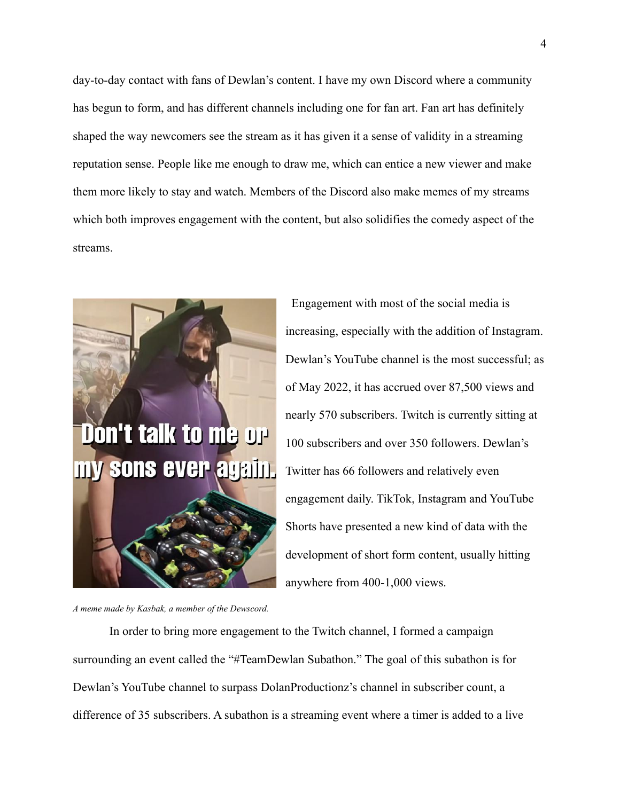day-to-day contact with fans of Dewlan's content. I have my own Discord where a community has begun to form, and has different channels including one for fan art. Fan art has definitely shaped the way newcomers see the stream as it has given it a sense of validity in a streaming reputation sense. People like me enough to draw me, which can entice a new viewer and make them more likely to stay and watch. Members of the Discord also make memes of my streams which both improves engagement with the content, but also solidifies the comedy aspect of the streams.



Engagement with most of the social media is increasing, especially with the addition of Instagram. Dewlan's YouTube channel is the most successful; as of May 2022, it has accrued over 87,500 views and nearly 570 subscribers. Twitch is currently sitting at 100 subscribers and over 350 followers. Dewlan's Twitter has 66 followers and relatively even engagement daily. TikTok, Instagram and YouTube Shorts have presented a new kind of data with the development of short form content, usually hitting anywhere from 400-1,000 views.

*A meme made by Kasbak, a member of the Dewscord.*

In order to bring more engagement to the Twitch channel, I formed a campaign surrounding an event called the "#TeamDewlan Subathon." The goal of this subathon is for Dewlan's YouTube channel to surpass DolanProductionz's channel in subscriber count, a difference of 35 subscribers. A subathon is a streaming event where a timer is added to a live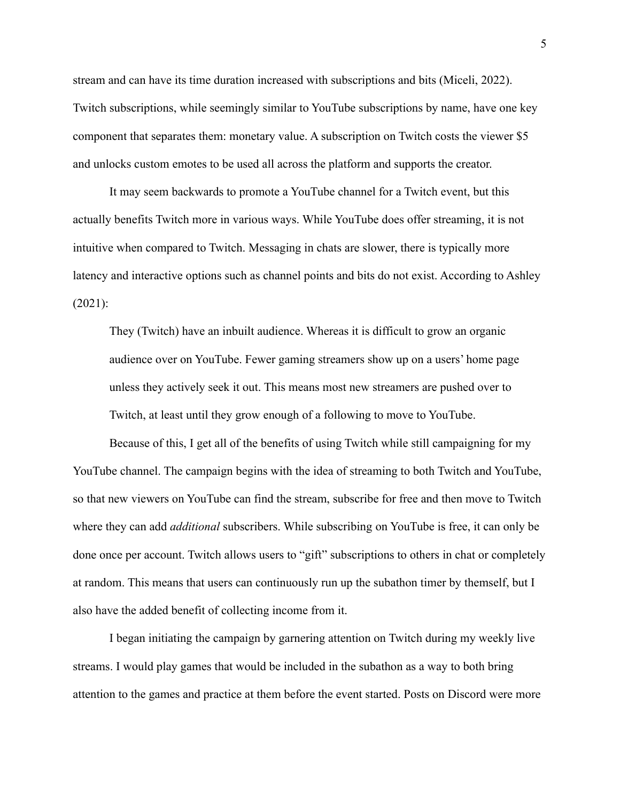stream and can have its time duration increased with subscriptions and bits (Miceli, 2022). Twitch subscriptions, while seemingly similar to YouTube subscriptions by name, have one key component that separates them: monetary value. A subscription on Twitch costs the viewer \$5 and unlocks custom emotes to be used all across the platform and supports the creator.

It may seem backwards to promote a YouTube channel for a Twitch event, but this actually benefits Twitch more in various ways. While YouTube does offer streaming, it is not intuitive when compared to Twitch. Messaging in chats are slower, there is typically more latency and interactive options such as channel points and bits do not exist. According to Ashley (2021):

They (Twitch) have an inbuilt audience. Whereas it is difficult to grow an organic audience over on YouTube. Fewer gaming streamers show up on a users' home page unless they actively seek it out. This means most new streamers are pushed over to Twitch, at least until they grow enough of a following to move to YouTube.

Because of this, I get all of the benefits of using Twitch while still campaigning for my YouTube channel. The campaign begins with the idea of streaming to both Twitch and YouTube, so that new viewers on YouTube can find the stream, subscribe for free and then move to Twitch where they can add *additional* subscribers. While subscribing on YouTube is free, it can only be done once per account. Twitch allows users to "gift" subscriptions to others in chat or completely at random. This means that users can continuously run up the subathon timer by themself, but I also have the added benefit of collecting income from it.

I began initiating the campaign by garnering attention on Twitch during my weekly live streams. I would play games that would be included in the subathon as a way to both bring attention to the games and practice at them before the event started. Posts on Discord were more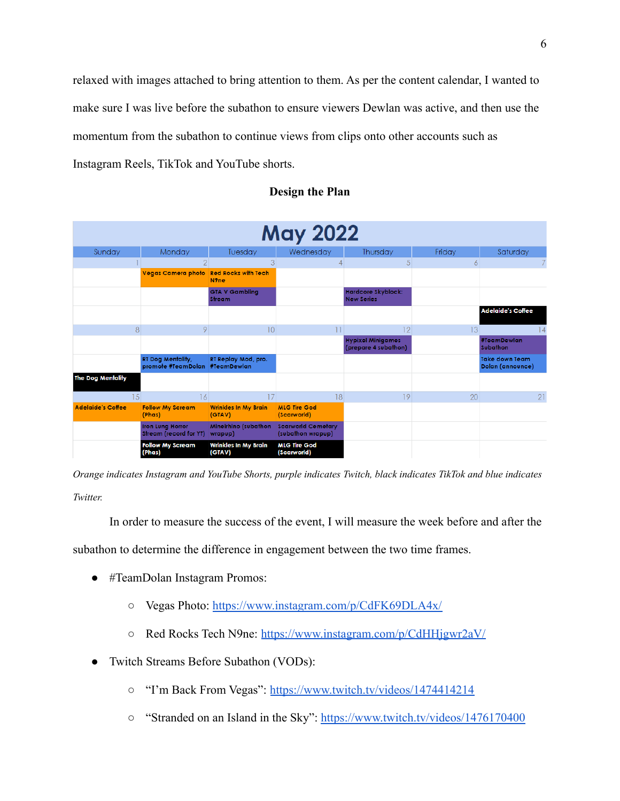relaxed with images attached to bring attention to them. As per the content calendar, I wanted to make sure I was live before the subathon to ensure viewers Dewlan was active, and then use the momentum from the subathon to continue views from clips onto other accounts such as Instagram Reels, TikTok and YouTube shorts.

| <b>May 2022</b>          |                                                            |                                                 |                                                |                                                  |        |                                           |
|--------------------------|------------------------------------------------------------|-------------------------------------------------|------------------------------------------------|--------------------------------------------------|--------|-------------------------------------------|
| Sunday                   | Monday                                                     | Tuesday                                         | Wednesday                                      | Thursday                                         | Friday | Saturday                                  |
|                          | $\overline{2}$                                             | 3                                               | $\overline{4}$                                 | 5                                                | 6      |                                           |
|                          | <b>Vegas Camera photo</b>                                  | <b>Red Rocks with Tech</b><br>N <sub>9</sub> ne |                                                |                                                  |        |                                           |
|                          |                                                            | <b>GTA V Gambling</b><br><b>Stream</b>          |                                                | Hardcore Skyblock:<br><b>New Series</b>          |        |                                           |
|                          |                                                            |                                                 |                                                |                                                  |        | <b>Adelaide's Coffee</b>                  |
| 8                        | 9                                                          | 10 <sup>°</sup>                                 | 11                                             | 12                                               | 13     | 14                                        |
|                          |                                                            |                                                 |                                                | <b>Hypixel Minigames</b><br>(prepare 4 subathon) |        | #TeamDewlan<br><b>Subathon</b>            |
|                          | <b>RT Dog Mentality,</b><br>promote #TeamDolan #TeamDewlan | RT Replay Mod, pro.                             |                                                |                                                  |        | <b>Take down Team</b><br>Dolan (announce) |
| <b>The Dog Mentality</b> |                                                            |                                                 |                                                |                                                  |        |                                           |
| 15                       | 16                                                         | 17                                              | 18                                             | 19                                               | 20     | 21                                        |
| <b>Adelaide's Coffee</b> | <b>Follow My Scream</b><br>(Phas)                          | <b>Wrinkles In My Brain</b><br>(GTAV)           | <b>MLG Tire God</b><br>(Scarworld)             |                                                  |        |                                           |
|                          | <b>Iron Lung Horror</b><br><b>Stream (record for YT)</b>   | Mineirhino (subathon<br>wrapup)                 | <b>Scarworld Cemetary</b><br>(subathon wrapup) |                                                  |        |                                           |
|                          | <b>Follow My Scream</b><br>(Phas)                          | <b>Wrinkles In My Brain</b><br>(GTAV)           | <b>MLG Tire God</b><br>(Scarworld)             |                                                  |        |                                           |

#### **Design the Plan**

*Orange indicates Instagram and YouTube Shorts, purple indicates Twitch, black indicates TikTok and blue indicates Twitter.*

In order to measure the success of the event, I will measure the week before and after the

subathon to determine the difference in engagement between the two time frames.

- #TeamDolan Instagram Promos:
	- Vegas Photo: <https://www.instagram.com/p/CdFK69DLA4x/>
	- Red Rocks Tech N9ne: <https://www.instagram.com/p/CdHHjgwr2aV/>
- Twitch Streams Before Subathon (VODs):
	- "I'm Back From Vegas": <https://www.twitch.tv/videos/1474414214>
	- o "Stranded on an Island in the Sky": <https://www.twitch.tv/videos/1476170400>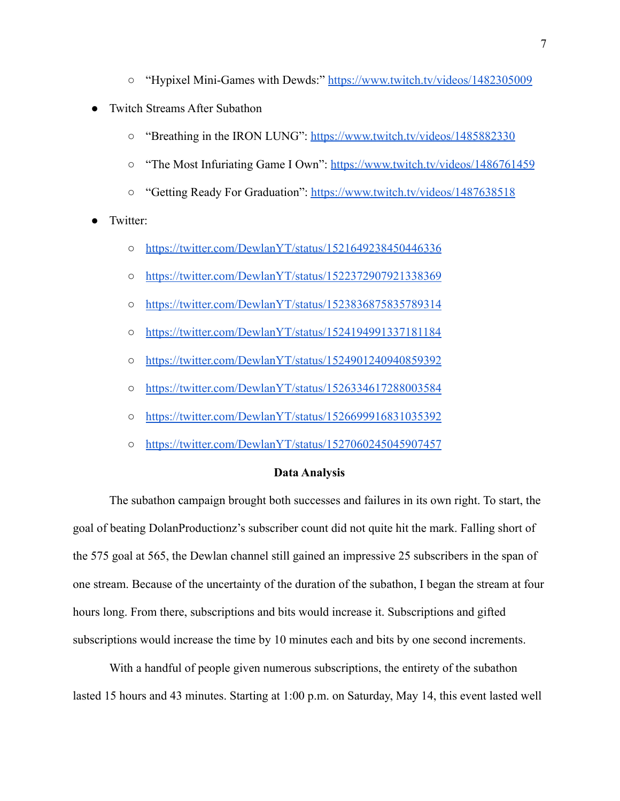- "Hypixel Mini-Games with Dewds:" <https://www.twitch.tv/videos/1482305009>
- **Twitch Streams After Subathon** 
	- o "Breathing in the IRON LUNG": <https://www.twitch.tv/videos/1485882330>
	- "The Most Infuriating Game I Own": <https://www.twitch.tv/videos/1486761459>
	- "Getting Ready For Graduation": <https://www.twitch.tv/videos/1487638518>
- Twitter:
	- o <https://twitter.com/DewlanYT/status/1521649238450446336>
	- <https://twitter.com/DewlanYT/status/1522372907921338369>
	- <https://twitter.com/DewlanYT/status/1523836875835789314>
	- <https://twitter.com/DewlanYT/status/1524194991337181184>
	- <https://twitter.com/DewlanYT/status/1524901240940859392>
	- <https://twitter.com/DewlanYT/status/1526334617288003584>
	- <https://twitter.com/DewlanYT/status/1526699916831035392>
	- <https://twitter.com/DewlanYT/status/1527060245045907457>

### **Data Analysis**

The subathon campaign brought both successes and failures in its own right. To start, the goal of beating DolanProductionz's subscriber count did not quite hit the mark. Falling short of the 575 goal at 565, the Dewlan channel still gained an impressive 25 subscribers in the span of one stream. Because of the uncertainty of the duration of the subathon, I began the stream at four hours long. From there, subscriptions and bits would increase it. Subscriptions and gifted subscriptions would increase the time by 10 minutes each and bits by one second increments.

With a handful of people given numerous subscriptions, the entirety of the subathon lasted 15 hours and 43 minutes. Starting at 1:00 p.m. on Saturday, May 14, this event lasted well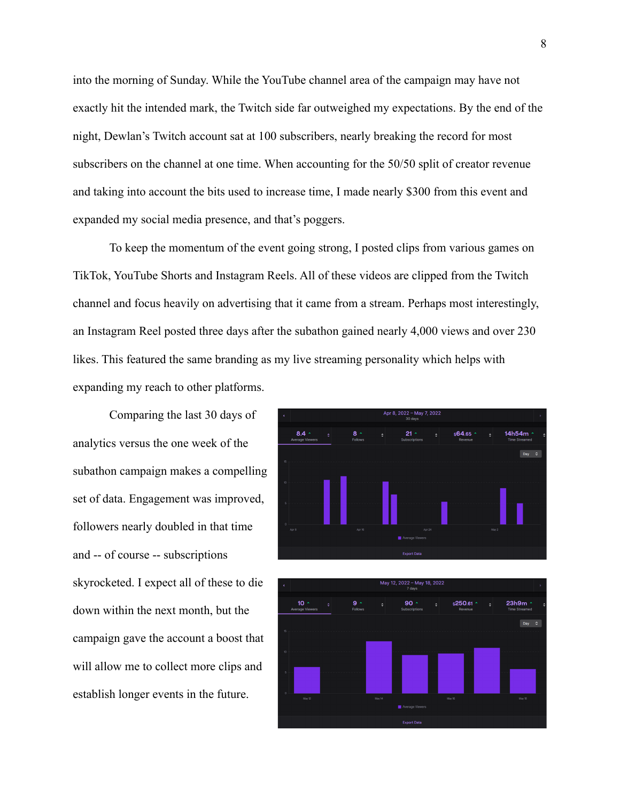into the morning of Sunday. While the YouTube channel area of the campaign may have not exactly hit the intended mark, the Twitch side far outweighed my expectations. By the end of the night, Dewlan's Twitch account sat at 100 subscribers, nearly breaking the record for most subscribers on the channel at one time. When accounting for the 50/50 split of creator revenue and taking into account the bits used to increase time, I made nearly \$300 from this event and expanded my social media presence, and that's poggers.

To keep the momentum of the event going strong, I posted clips from various games on TikTok, YouTube Shorts and Instagram Reels. All of these videos are clipped from the Twitch channel and focus heavily on advertising that it came from a stream. Perhaps most interestingly, an Instagram Reel posted three days after the subathon gained nearly 4,000 views and over 230 likes. This featured the same branding as my live streaming personality which helps with expanding my reach to other platforms.

Comparing the last 30 days of analytics versus the one week of the subathon campaign makes a compelling set of data. Engagement was improved, followers nearly doubled in that time and -- of course -- subscriptions skyrocketed. I expect all of these to die down within the next month, but the campaign gave the account a boost that will allow me to collect more clips and establish longer events in the future.



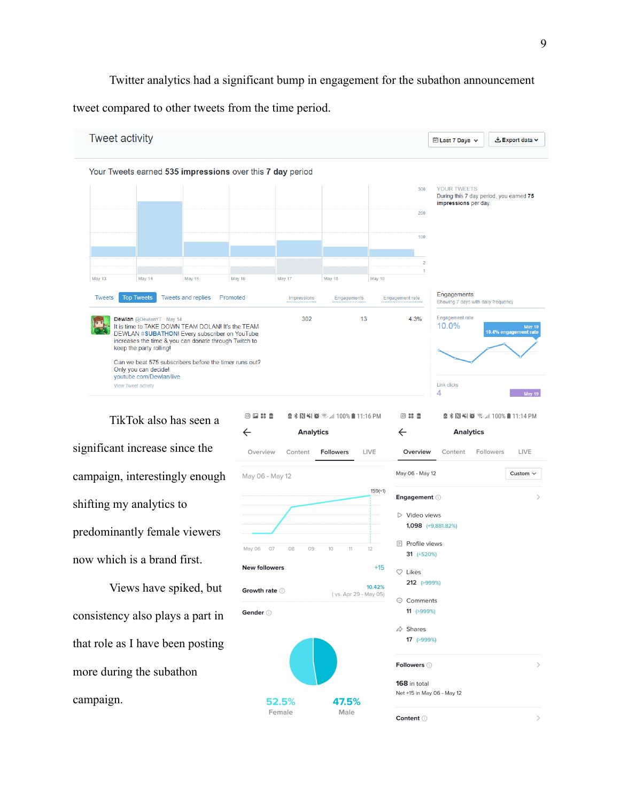Twitter analytics had a significant bump in engagement for the subathon announcement

tweet compared to other tweets from the time period.